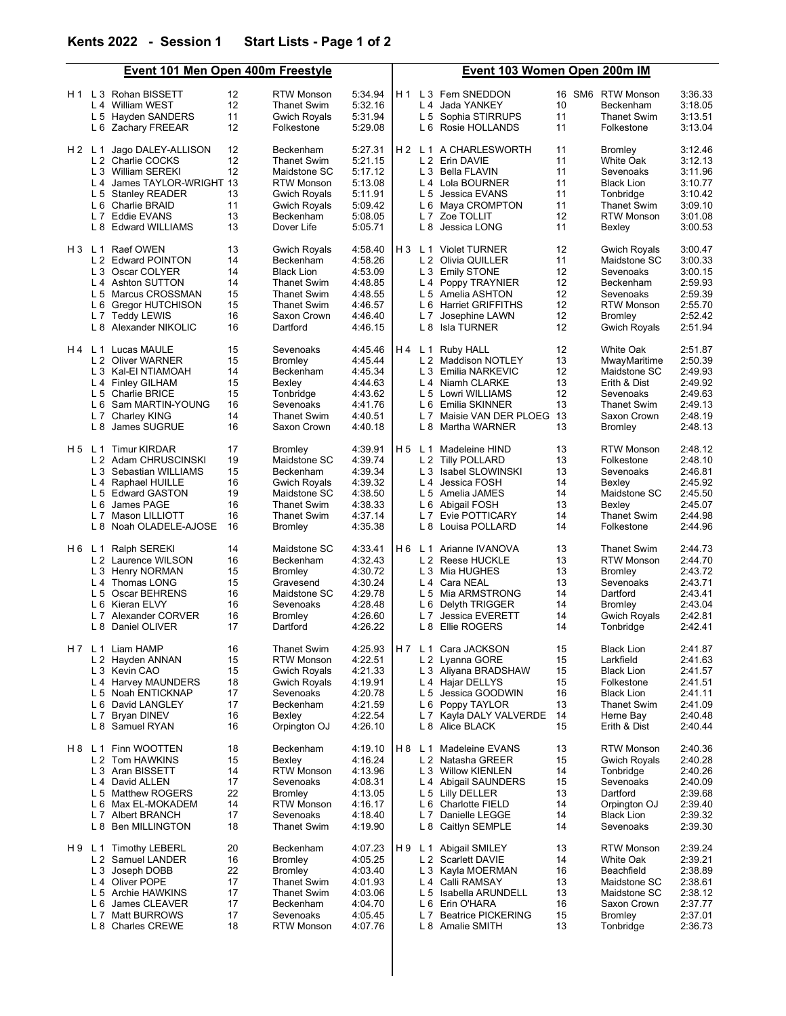|       | <b>Event 101 Men Open 400m Freestyle</b>                        |          |                                  |                    | Event 103 Women Open 200m IM |                |                                                               |          |                                 |                    |
|-------|-----------------------------------------------------------------|----------|----------------------------------|--------------------|------------------------------|----------------|---------------------------------------------------------------|----------|---------------------------------|--------------------|
|       | H <sub>1</sub> L <sub>3</sub> Rohan BISSETT<br>L 4 William WEST | 12<br>12 | <b>RTW Monson</b><br>Thanet Swim | 5:34.94<br>5:32.16 |                              |                | H <sub>1</sub> L <sub>3</sub> Fern SNEDDON<br>L 4 Jada YANKEY | 10       | 16 SM6 RTW Monson<br>Beckenham  | 3:36.33<br>3:18.05 |
|       | L 5 Hayden SANDERS                                              | 11       | <b>Gwich Royals</b>              | 5:31.94            |                              |                | L 5 Sophia STIRRUPS                                           | 11       | <b>Thanet Swim</b>              | 3:13.51            |
|       | L 6 Zachary FREEAR                                              | 12       | Folkestone                       | 5:29.08            |                              |                | L 6 Rosie HOLLANDS                                            | 11       | Folkestone                      | 3:13.04            |
|       |                                                                 |          |                                  |                    |                              |                |                                                               |          |                                 |                    |
| H2L1  | Jago DALEY-ALLISON                                              | 12       | Beckenham                        | 5:27.31            |                              |                | H <sub>2</sub> L <sub>1</sub> A CHARLESWORTH                  | 11       | <b>Bromley</b>                  | 3:12.46            |
|       | L 2 Charlie COCKS                                               | 12       | <b>Thanet Swim</b>               | 5:21.15            |                              |                | L 2 Erin DAVIE                                                | 11       | White Oak                       | 3:12.13            |
|       | L 3 William SEREKI                                              | 12       | Maidstone SC                     | 5:17.12            |                              |                | L 3 Bella FLAVIN                                              | 11       | Sevenoaks                       | 3:11.96            |
|       | L 4 James TAYLOR-WRIGHT 13                                      |          | <b>RTW Monson</b>                | 5:13.08            |                              |                | L 4 Lola BOURNER                                              | 11       | <b>Black Lion</b>               | 3:10.77            |
|       | L 5 Stanley READER                                              | 13       | <b>Gwich Royals</b>              | 5:11.91            |                              |                | L 5 Jessica EVANS                                             | 11       | Tonbridge                       | 3:10.42            |
|       | L 6 Charlie BRAID                                               | 11       | Gwich Royals                     | 5:09.42<br>5:08.05 |                              |                | L 6 Maya CROMPTON                                             | 11<br>12 | <b>Thanet Swim</b>              | 3:09.10            |
|       | L 7 Eddie EVANS                                                 | 13<br>13 | Beckenham                        |                    |                              |                | L 7 Zoe TOLLIT                                                | 11       | <b>RTW Monson</b>               | 3:01.08            |
|       | L 8 Edward WILLIAMS                                             |          | Dover Life                       | 5:05.71            |                              | L 8            | Jessica LONG                                                  |          | Bexley                          | 3:00.53            |
|       | H 3 L 1 Raef OWEN                                               | 13       | <b>Gwich Royals</b>              | 4:58.40            |                              |                | H 3 L 1 Violet TURNER                                         | 12       | <b>Gwich Royals</b>             | 3:00.47            |
|       | L 2 Edward POINTON                                              | 14       | Beckenham                        | 4:58.26            |                              |                | L 2 Olivia QUILLER                                            | 11       | Maidstone SC                    | 3:00.33            |
|       | L 3 Oscar COLYER                                                | 14       | <b>Black Lion</b>                | 4:53.09            |                              |                | L 3 Emily STONE                                               | 12       | Sevenoaks                       | 3:00.15            |
|       | L 4 Ashton SUTTON                                               | 14       | Thanet Swim                      | 4:48.85            |                              |                | L 4 Poppy TRAYNIER                                            | 12       | Beckenham                       | 2:59.93            |
|       | L 5 Marcus CROSSMAN                                             | 15       | Thanet Swim                      | 4:48.55            |                              |                | L 5 Amelia ASHTON                                             | 12       | Sevenoaks                       | 2:59.39            |
|       | L 6 Gregor HUTCHISON                                            | 15       | <b>Thanet Swim</b>               | 4:46.57            |                              | L 6            | <b>Harriet GRIFFITHS</b>                                      | 12       | <b>RTW Monson</b>               | 2:55.70            |
|       | L 7 Teddy LEWIS                                                 | 16<br>16 | Saxon Crown                      | 4:46.40            |                              | L <sub>7</sub> | Josephine LAWN                                                | 12       | Bromley                         | 2:52.42            |
|       | L 8 Alexander NIKOLIC                                           |          | Dartford                         | 4:46.15            |                              |                | L 8 Isla TURNER                                               | 12       | <b>Gwich Royals</b>             | 2:51.94            |
|       | H 4 L 1 Lucas MAULE                                             | 15       | Sevenoaks                        | 4:45.46            |                              | H4 L1          | Ruby HALL                                                     | 12       | White Oak                       | 2:51.87            |
|       | L 2 Oliver WARNER                                               | 15       | <b>Bromley</b>                   | 4:45.44            |                              |                | L 2 Maddison NOTLEY                                           | 13       | MwayMaritime                    | 2:50.39            |
|       | L 3 Kal-EI NTIAMOAH                                             | 14       | Beckenham                        | 4:45.34            |                              |                | L 3 Emilia NARKEVIC                                           | 12       | Maidstone SC                    | 2:49.93            |
|       | L 4 Finley GILHAM                                               | 15<br>15 | Bexley<br>Tonbridge              | 4:44.63            |                              |                | L 4 Niamh CLARKE                                              | 13<br>12 | Erith & Dist                    | 2:49.92<br>2:49.63 |
|       | L 5 Charlie BRICE<br>L 6 Sam MARTIN-YOUNG                       | 16       | Sevenoaks                        | 4:43.62<br>4:41.76 |                              | L 6            | L 5 Lowri WILLIAMS                                            | 13       | Sevenoaks                       |                    |
|       | L 7 Charley KING                                                | 14       | Thanet Swim                      | 4:40.51            |                              |                | Emilia SKINNER<br>L 7 Maisie VAN DER PLOEG                    | 13       | Thanet Swim<br>Saxon Crown      | 2:49.13<br>2:48.19 |
|       | L 8 James SUGRUE                                                | 16       | Saxon Crown                      | 4:40.18            |                              |                | L 8 Martha WARNER                                             | 13       | Bromley                         | 2:48.13            |
|       |                                                                 |          |                                  |                    |                              |                |                                                               |          |                                 |                    |
| H5 L1 | <b>Timur KIRDAR</b>                                             | 17       | Bromley                          | 4:39.91            | H 5                          | L 1            | Madeleine HIND                                                | 13       | <b>RTW Monson</b>               | 2:48.12            |
|       | L 2 Adam CHRUSCINSKI                                            | 19       | Maidstone SC                     | 4:39.74            |                              |                | L 2 Tilly POLLARD                                             | 13       | Folkestone                      | 2:48.10            |
|       | L 3 Sebastian WILLIAMS                                          | 15       | Beckenham                        | 4:39.34            |                              |                | L 3 Isabel SLOWINSKI                                          | 13       | Sevenoaks                       | 2:46.81            |
|       | L 4 Raphael HUILLE                                              | 16       | Gwich Royals                     | 4:39.32            |                              |                | L 4 Jessica FOSH                                              | 14       | Bexley                          | 2:45.92            |
|       | L 5 Edward GASTON                                               | 19       | Maidstone SC                     | 4:38.50            |                              |                | L 5 Amelia JAMES                                              | 14       | Maidstone SC                    | 2:45.50            |
|       | L 6 James PAGE                                                  | 16       | <b>Thanet Swim</b>               | 4:38.33            |                              | L 6            | Abigail FOSH                                                  | 13       | Bexley                          | 2:45.07            |
|       | L 7 Mason LILLIOTT                                              | 16       | <b>Thanet Swim</b>               | 4:37.14            |                              |                | L 7 Evie POTTICARY                                            | 14<br>14 | <b>Thanet Swim</b>              | 2:44.98            |
|       | L 8 Noah OLADELE-AJOSE                                          | 16       | Bromley                          | 4:35.38            |                              | L 8            | Louisa POLLARD                                                |          | Folkestone                      | 2:44.96            |
|       | H 6 L 1 Ralph SEREKI                                            | 14       | Maidstone SC                     | 4:33.41            |                              |                | H6 L1 Arianne IVANOVA                                         | 13       | <b>Thanet Swim</b>              | 2:44.73            |
|       | L 2 Laurence WILSON                                             | 16       | Beckenham                        | 4:32.43            |                              |                | L 2 Reese HUCKLE                                              | 13       | <b>RTW Monson</b>               | 2:44.70            |
|       | L 3 Henry NORMAN                                                | 15       | <b>Bromley</b>                   | 4:30.72            |                              |                | L 3 Mia HUGHES                                                | 13       | <b>Bromley</b>                  | 2:43.72            |
|       | L 4 Thomas LONG                                                 | 15       | Gravesend                        | 4:30.24            |                              |                | L 4 Cara NEAL                                                 | 13       | Sevenoaks                       | 2:43.71            |
|       | L 5 Oscar BEHRENS                                               | 16       | Maidstone SC                     | 4:29.78            |                              |                | L 5 Mia ARMSTRONG                                             | 14       | Dartford                        | 2:43.41            |
|       | L 6 Kieran ELVY                                                 | 16       | Sevenoaks                        | 4:28.48            |                              | L 6            | Delyth TRIGGER                                                | 14       | <b>Bromley</b>                  | 2:43.04            |
|       | L <sub>7</sub><br>Alexander CORVER                              | 16       | <b>Bromley</b>                   | 4:26.60            |                              | L 7            | <b>Jessica EVERETT</b>                                        | 14       | <b>Gwich Royals</b>             | 2:42.81            |
|       | L 8 Daniel OLIVER                                               | 17       | Dartford                         | 4:26.22            |                              |                | L 8 Ellie ROGERS                                              | 14       | Tonbridge                       | 2:42.41            |
|       | H 7 L 1 Liam HAMP                                               | 16       | <b>Thanet Swim</b>               | 4:25.93            |                              |                | H7 L1 Cara JACKSON                                            | 15       | <b>Black Lion</b>               | 2:41.87            |
|       | L 2 Hayden ANNAN                                                | 15       | <b>RTW Monson</b>                | 4:22.51            |                              |                | L 2 Lyanna GORE                                               | 15       | Larkfield                       | 2:41.63            |
|       | L 3 Kevin CAO                                                   | 15       | Gwich Royals                     | 4:21.33            |                              |                | L 3 Aliyana BRADSHAW                                          | 15       | <b>Black Lion</b>               | 2:41.57<br>2:41.51 |
|       | L 4 Harvey MAUNDERS<br>L 5 Noah ENTICKNAP                       | 18<br>17 | <b>Gwich Royals</b><br>Sevenoaks | 4:19.91<br>4:20.78 |                              | L 5            | L 4 Hajar DELLYS<br>Jessica GOODWIN                           | 15<br>16 | Folkestone<br><b>Black Lion</b> | 2:41.11            |
|       | L 6 David LANGLEY                                               | 17       | Beckenham                        | 4:21.59            |                              | L 6            | Poppy TAYLOR                                                  | 13       | <b>Thanet Swim</b>              | 2:41.09            |
|       | L 7 Bryan DINEV                                                 | 16       | Bexley                           | 4:22.54            |                              | L 7            | Kayla DALY VALVERDE                                           | 14       | Herne Bay                       | 2:40.48            |
|       | L 8 Samuel RYAN                                                 | 16       | Orpington OJ                     | 4:26.10            |                              |                | L 8 Alice BLACK                                               | 15       | Erith & Dist                    | 2:40.44            |
| H8 L1 | Finn WOOTTEN                                                    | 18       | Beckenham                        | 4:19.10            | H 8                          | L <sub>1</sub> | Madeleine EVANS                                               | 13       | <b>RTW Monson</b>               | 2:40.36            |
|       | L 2 Tom HAWKINS                                                 | 15       | Bexlev                           | 4:16.24            |                              |                | L 2 Natasha GREER                                             | 15       | <b>Gwich Royals</b>             | 2:40.28            |
|       | L 3 Aran BISSETT                                                | 14       | <b>RTW Monson</b>                | 4:13.96            |                              |                | L 3 Willow KIENLEN                                            | 14       | Tonbridge                       | 2:40.26            |
|       | L 4 David ALLEN                                                 | 17       | Sevenoaks                        | 4:08.31            |                              |                | L 4 Abigail SAUNDERS                                          | 15       | Sevenoaks                       | 2:40.09            |
|       | L 5 Matthew ROGERS                                              | 22       | Bromley                          | 4:13.05            |                              |                | L 5 Lilly DELLER                                              | 13       | Dartford                        | 2:39.68            |
|       | L 6 Max EL-MOKADEM                                              | 14       | <b>RTW Monson</b>                | 4:16.17            |                              | L 6            | <b>Charlotte FIELD</b>                                        | 14       | Orpington OJ                    | 2:39.40            |
|       | L 7 Albert BRANCH                                               | 17       | Sevenoaks                        | 4:18.40            |                              | L 7            | Danielle LEGGE                                                | 14       | <b>Black Lion</b>               | 2:39.32            |
|       | L 8 Ben MILLINGTON                                              | 18       | <b>Thanet Swim</b>               | 4:19.90            |                              | L 8            | Caitlyn SEMPLE                                                | 14       | Sevenoaks                       | 2:39.30            |
| H9L1  | <b>Timothy LEBERL</b>                                           | 20       | Beckenham                        | 4:07.23            | H 9                          |                | L 1 Abigail SMILEY                                            | 13       | <b>RTW Monson</b>               | 2:39.24            |
|       | L 2 Samuel LANDER                                               | 16       | Bromley                          | 4:05.25            |                              |                | L 2 Scarlett DAVIE                                            | 14       | White Oak                       | 2:39.21            |
|       | L 3 Joseph DOBB                                                 | 22       | <b>Bromley</b>                   | 4:03.40            |                              |                | L 3 Kayla MOERMAN                                             | 16       | Beachfield                      | 2:38.89            |
|       | L 4 Oliver POPE                                                 | 17       | <b>Thanet Swim</b>               | 4:01.93            |                              | L4             | Calli RAMSAY                                                  | 13       | Maidstone SC                    | 2:38.61            |
|       | L 5 Archie HAWKINS                                              | 17       | <b>Thanet Swim</b>               | 4:03.06            |                              |                | L 5 Isabella ARUNDELL                                         | 13       | Maidstone SC                    | 2:38.12            |
|       | L 6 James CLEAVER                                               | 17       | Beckenham                        | 4:04.70            |                              | L 6            | Erin O'HARA                                                   | 16       | Saxon Crown                     | 2:37.77            |
|       | L 7 Matt BURROWS                                                | 17       | Sevenoaks                        | 4:05.45            |                              | L 7            | <b>Beatrice PICKERING</b>                                     | 15       | Bromley                         | 2:37.01            |
|       | L 8 Charles CREWE                                               | 18       | <b>RTW Monson</b>                | 4:07.76            |                              |                | L 8 Amalie SMITH                                              | 13       | Tonbridge                       | 2:36.73            |